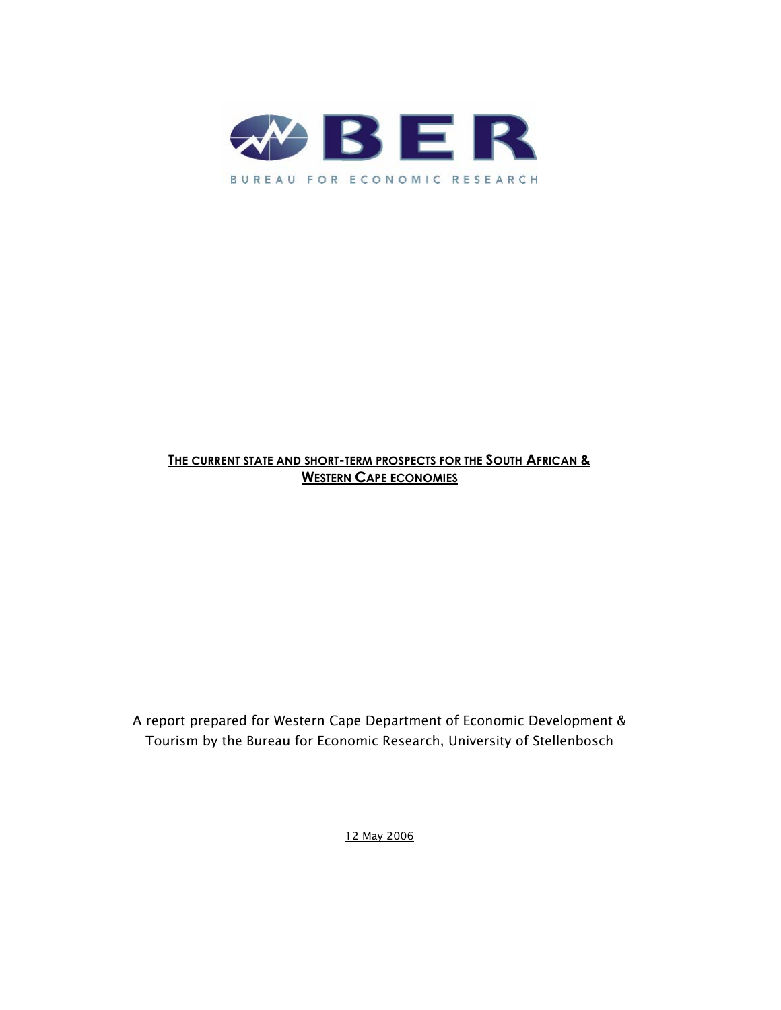

### **THE CURRENT STATE AND SHORT-TERM PROSPECTS FOR THE SOUTH AFRICAN & WESTERN CAPE ECONOMIES**

A report prepared for Western Cape Department of Economic Development & Tourism by the Bureau for Economic Research, University of Stellenbosch

12 May 2006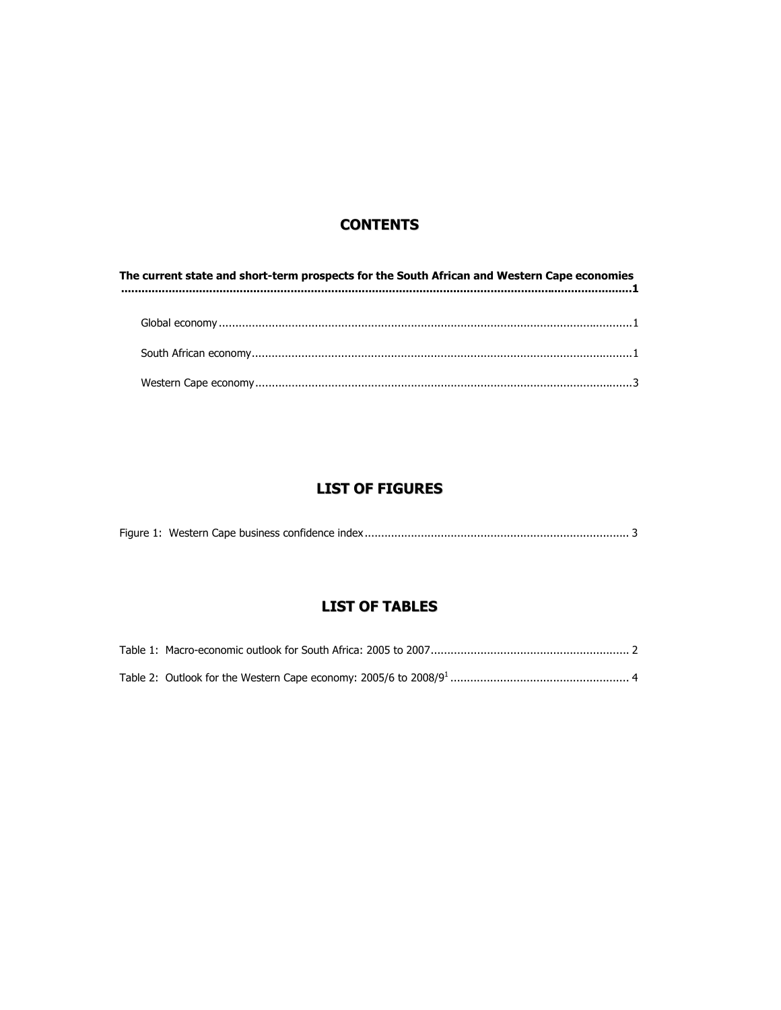### **CONTENTS**

| The current state and short-term prospects for the South African and Western Cape economies<br>$\begin{minipage}{0.9\linewidth} \label{eq:opt1} \begin{minipage}{0.9\linewidth} \includegraphics{fig:10.9\linewidth} \end{minipage} \begin{minipage}{0.9\linewidth} \includegraphics{fig:10.9\linewidth} \end{minipage} \begin{minipage}{0.9\linewidth} \includegraphics{fig:10.9\linewidth} \end{minipage} \begin{minipage}{0.9\linewidth} \includegraphics{fig:10.9\linewidth} \end{minipage} \begin{minipage}{0.9\linewidth} \includegraphics{fig:10.9\linewidth} \end{minipage} \begin{minipage}{0.9\linewidth} \includegraphics{fig:10.9\linewidth} \end{minipage} \$ |  |  |  |  |
|----------------------------------------------------------------------------------------------------------------------------------------------------------------------------------------------------------------------------------------------------------------------------------------------------------------------------------------------------------------------------------------------------------------------------------------------------------------------------------------------------------------------------------------------------------------------------------------------------------------------------------------------------------------------------|--|--|--|--|
|                                                                                                                                                                                                                                                                                                                                                                                                                                                                                                                                                                                                                                                                            |  |  |  |  |
|                                                                                                                                                                                                                                                                                                                                                                                                                                                                                                                                                                                                                                                                            |  |  |  |  |
|                                                                                                                                                                                                                                                                                                                                                                                                                                                                                                                                                                                                                                                                            |  |  |  |  |
|                                                                                                                                                                                                                                                                                                                                                                                                                                                                                                                                                                                                                                                                            |  |  |  |  |

## **LIST OF FIGURES**

|--|--|--|--|

# **LIST OF TABLES**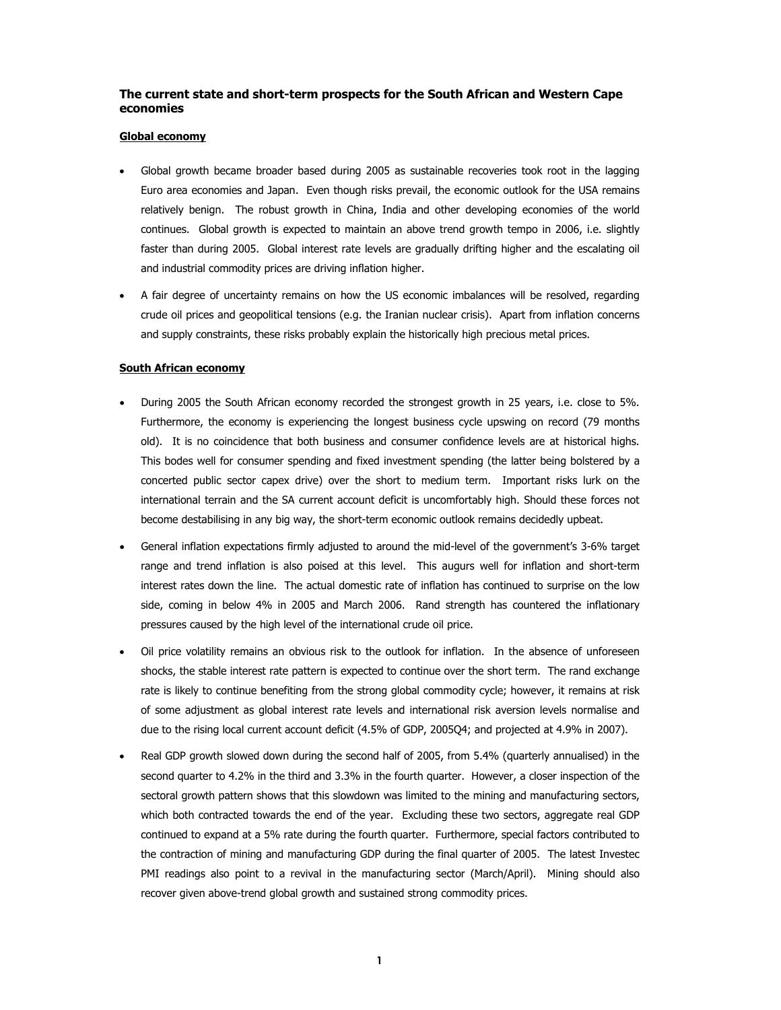### **The current state and short-term prospects for the South African and Western Cape economies**

#### **Global economy**

- Global growth became broader based during 2005 as sustainable recoveries took root in the lagging Euro area economies and Japan. Even though risks prevail, the economic outlook for the USA remains relatively benign. The robust growth in China, India and other developing economies of the world continues. Global growth is expected to maintain an above trend growth tempo in 2006, i.e. slightly faster than during 2005. Global interest rate levels are gradually drifting higher and the escalating oil and industrial commodity prices are driving inflation higher.
- A fair degree of uncertainty remains on how the US economic imbalances will be resolved, regarding crude oil prices and geopolitical tensions (e.g. the Iranian nuclear crisis). Apart from inflation concerns and supply constraints, these risks probably explain the historically high precious metal prices.

#### **South African economy**

- During 2005 the South African economy recorded the strongest growth in 25 years, i.e. close to 5%. Furthermore, the economy is experiencing the longest business cycle upswing on record (79 months old). It is no coincidence that both business and consumer confidence levels are at historical highs. This bodes well for consumer spending and fixed investment spending (the latter being bolstered by a concerted public sector capex drive) over the short to medium term. Important risks lurk on the international terrain and the SA current account deficit is uncomfortably high. Should these forces not become destabilising in any big way, the short-term economic outlook remains decidedly upbeat.
- General inflation expectations firmly adjusted to around the mid-level of the government's 3-6% target range and trend inflation is also poised at this level. This augurs well for inflation and short-term interest rates down the line. The actual domestic rate of inflation has continued to surprise on the low side, coming in below 4% in 2005 and March 2006. Rand strength has countered the inflationary pressures caused by the high level of the international crude oil price.
- Oil price volatility remains an obvious risk to the outlook for inflation. In the absence of unforeseen shocks, the stable interest rate pattern is expected to continue over the short term. The rand exchange rate is likely to continue benefiting from the strong global commodity cycle; however, it remains at risk of some adjustment as global interest rate levels and international risk aversion levels normalise and due to the rising local current account deficit (4.5% of GDP, 2005Q4; and projected at 4.9% in 2007).
- Real GDP growth slowed down during the second half of 2005, from 5.4% (quarterly annualised) in the second quarter to 4.2% in the third and 3.3% in the fourth quarter. However, a closer inspection of the sectoral growth pattern shows that this slowdown was limited to the mining and manufacturing sectors, which both contracted towards the end of the year. Excluding these two sectors, aggregate real GDP continued to expand at a 5% rate during the fourth quarter. Furthermore, special factors contributed to the contraction of mining and manufacturing GDP during the final quarter of 2005. The latest Investec PMI readings also point to a revival in the manufacturing sector (March/April). Mining should also recover given above-trend global growth and sustained strong commodity prices.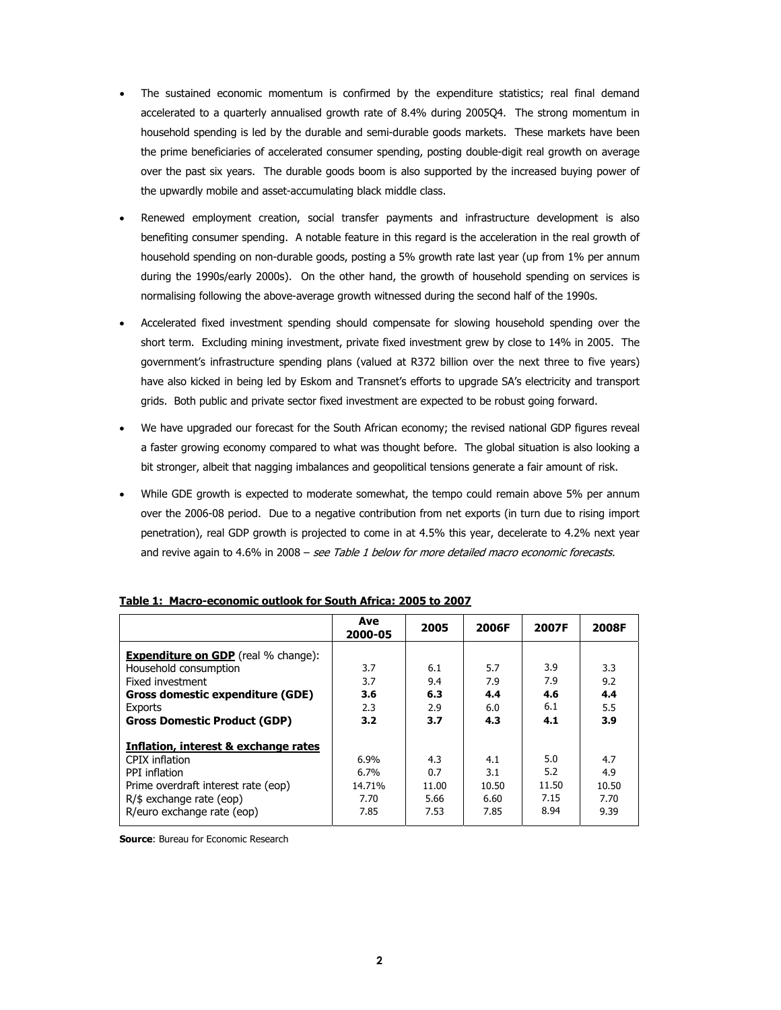- The sustained economic momentum is confirmed by the expenditure statistics; real final demand accelerated to a quarterly annualised growth rate of 8.4% during 2005Q4. The strong momentum in household spending is led by the durable and semi-durable goods markets. These markets have been the prime beneficiaries of accelerated consumer spending, posting double-digit real growth on average over the past six years. The durable goods boom is also supported by the increased buying power of the upwardly mobile and asset-accumulating black middle class.
- Renewed employment creation, social transfer payments and infrastructure development is also benefiting consumer spending. A notable feature in this regard is the acceleration in the real growth of household spending on non-durable goods, posting a 5% growth rate last year (up from 1% per annum during the 1990s/early 2000s). On the other hand, the growth of household spending on services is normalising following the above-average growth witnessed during the second half of the 1990s.
- Accelerated fixed investment spending should compensate for slowing household spending over the short term. Excluding mining investment, private fixed investment grew by close to 14% in 2005. The government's infrastructure spending plans (valued at R372 billion over the next three to five years) have also kicked in being led by Eskom and Transnet's efforts to upgrade SA's electricity and transport grids. Both public and private sector fixed investment are expected to be robust going forward.
- We have upgraded our forecast for the South African economy; the revised national GDP figures reveal a faster growing economy compared to what was thought before. The global situation is also looking a bit stronger, albeit that nagging imbalances and geopolitical tensions generate a fair amount of risk.
- While GDE growth is expected to moderate somewhat, the tempo could remain above 5% per annum over the 2006-08 period. Due to a negative contribution from net exports (in turn due to rising import penetration), real GDP growth is projected to come in at 4.5% this year, decelerate to 4.2% next year and revive again to 4.6% in 2008 - see Table 1 below for more detailed macro economic forecasts.

|                                            | Ave<br>2000-05 | 2005  | 2006F | 2007F | 2008F |
|--------------------------------------------|----------------|-------|-------|-------|-------|
| <b>Expenditure on GDP</b> (real % change): |                |       |       |       |       |
| Household consumption                      | 3.7            | 6.1   | 5.7   | 3.9   | 3.3   |
| Fixed investment                           | 3.7            | 9.4   | 7.9   | 7.9   | 9.2   |
| Gross domestic expenditure (GDE)           | 3.6            | 6.3   | 4.4   | 4.6   | 4.4   |
| Exports                                    | 2.3            | 2.9   | 6.0   | 6.1   | 5.5   |
| <b>Gross Domestic Product (GDP)</b>        | 3.2            | 3.7   | 4.3   | 4.1   | 3.9   |
| Inflation, interest & exchange rates       |                |       |       |       |       |
| CPIX inflation                             | 6.9%           | 4.3   | 4.1   | 5.0   | 4.7   |
| PPI inflation                              | $6.7\%$        | 0.7   | 3.1   | 5.2   | 4.9   |
| Prime overdraft interest rate (eop)        | 14.71%         | 11.00 | 10.50 | 11.50 | 10.50 |
| $R/\$$ exchange rate (eop)                 | 7.70           | 5.66  | 6.60  | 7.15  | 7.70  |
| R/euro exchange rate (eop)                 | 7.85           | 7.53  | 7.85  | 8.94  | 9.39  |

#### **Table 1: Macro-economic outlook for South Africa: 2005 to 2007**

**Source: Bureau for Economic Research**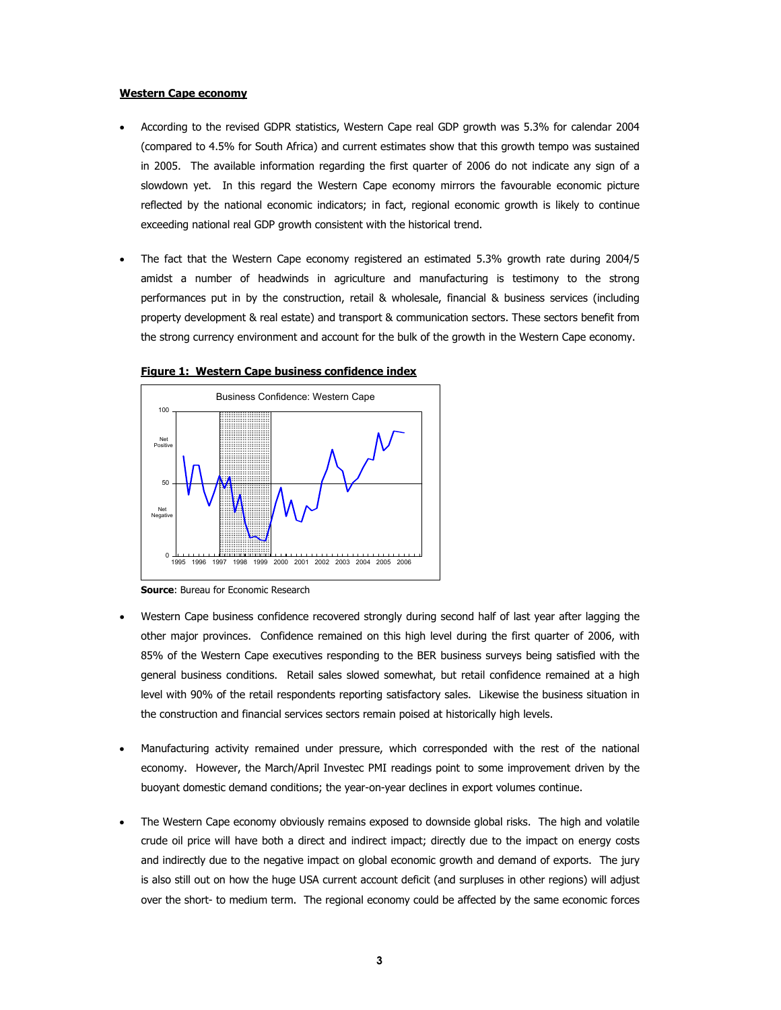#### **Western Cape economy**

- According to the revised GDPR statistics, Western Cape real GDP growth was 5.3% for calendar 2004 (compared to 4.5% for South Africa) and current estimates show that this growth tempo was sustained in 2005. The available information regarding the first quarter of 2006 do not indicate any sign of a slowdown yet. In this regard the Western Cape economy mirrors the favourable economic picture reflected by the national economic indicators; in fact, regional economic growth is likely to continue exceeding national real GDP growth consistent with the historical trend.
- The fact that the Western Cape economy registered an estimated 5.3% growth rate during 2004/5 amidst a number of headwinds in agriculture and manufacturing is testimony to the strong performances put in by the construction, retail & wholesale, financial & business services (including property development & real estate) and transport & communication sectors. These sectors benefit from the strong currency environment and account for the bulk of the growth in the Western Cape economy.



#### **Figure 1: Western Cape business confidence index**

**Source**: Bureau for Economic Research

- Western Cape business confidence recovered strongly during second half of last year after lagging the other major provinces. Confidence remained on this high level during the first quarter of 2006, with 85% of the Western Cape executives responding to the BER business surveys being satisfied with the general business conditions. Retail sales slowed somewhat, but retail confidence remained at a high level with 90% of the retail respondents reporting satisfactory sales. Likewise the business situation in the construction and financial services sectors remain poised at historically high levels.
- Manufacturing activity remained under pressure, which corresponded with the rest of the national economy. However, the March/April Investec PMI readings point to some improvement driven by the buoyant domestic demand conditions; the year-on-year declines in export volumes continue.
- The Western Cape economy obviously remains exposed to downside global risks. The high and volatile crude oil price will have both a direct and indirect impact; directly due to the impact on energy costs and indirectly due to the negative impact on global economic growth and demand of exports. The jury is also still out on how the huge USA current account deficit (and surpluses in other regions) will adjust over the short- to medium term. The regional economy could be affected by the same economic forces